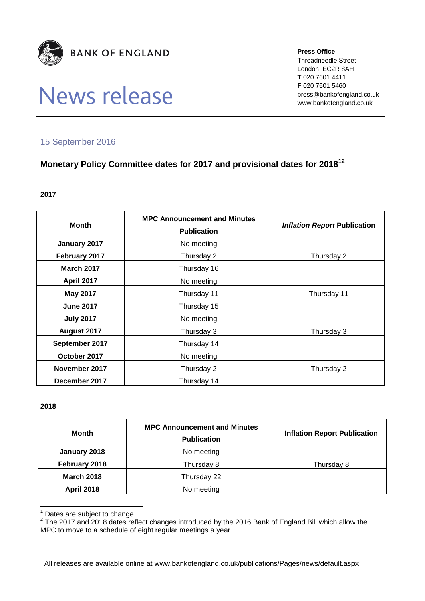

# News release

**Press Office** Threadneedle Street London EC2R 8AH **T** 020 7601 4411 **F** 020 7601 5460 press@bankofengland.co.uk www.bankofengland.co.uk

### 15 September 2016

## **Monetary Policy Committee dates for 2017 and provisional dates for 2018<sup>12</sup>**

#### **2017**

| <b>Month</b>      | <b>MPC Announcement and Minutes</b><br><b>Publication</b> | <b>Inflation Report Publication</b> |
|-------------------|-----------------------------------------------------------|-------------------------------------|
| January 2017      | No meeting                                                |                                     |
| February 2017     | Thursday 2                                                | Thursday 2                          |
| <b>March 2017</b> | Thursday 16                                               |                                     |
| <b>April 2017</b> | No meeting                                                |                                     |
| <b>May 2017</b>   | Thursday 11                                               | Thursday 11                         |
| <b>June 2017</b>  | Thursday 15                                               |                                     |
| <b>July 2017</b>  | No meeting                                                |                                     |
| August 2017       | Thursday 3                                                | Thursday 3                          |
| September 2017    | Thursday 14                                               |                                     |
| October 2017      | No meeting                                                |                                     |
| November 2017     | Thursday 2                                                | Thursday 2                          |
| December 2017     | Thursday 14                                               |                                     |

#### **2018**

| <b>Month</b>      | <b>MPC Announcement and Minutes</b><br><b>Publication</b> | <b>Inflation Report Publication</b> |
|-------------------|-----------------------------------------------------------|-------------------------------------|
| January 2018      | No meeting                                                |                                     |
| February 2018     | Thursday 8                                                | Thursday 8                          |
| <b>March 2018</b> | Thursday 22                                               |                                     |
| <b>April 2018</b> | No meeting                                                |                                     |

- $<sup>1</sup>$  Dates are subject to change.</sup>

 $2$  The 2017 and 2018 dates reflect changes introduced by the 2016 Bank of England Bill which allow the MPC to move to a schedule of eight regular meetings a year.

All releases are available online at www.bankofengland.co.uk/publications/Pages/news/default.aspx